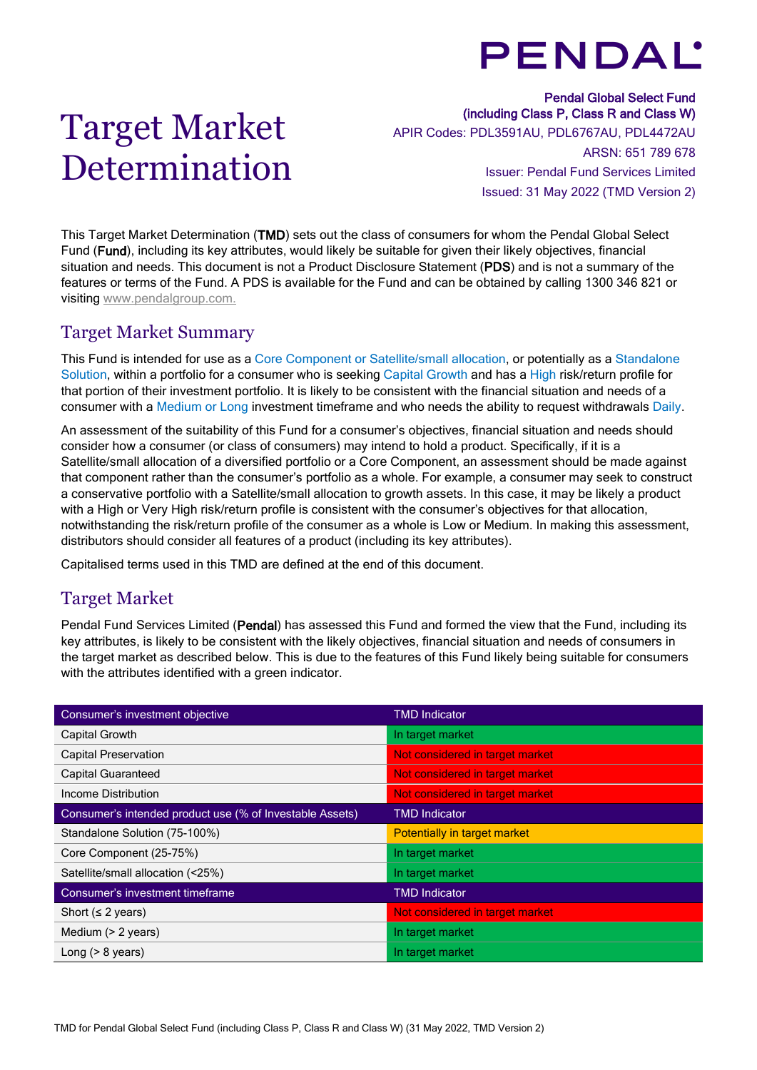# **PENDAL'**

# Target Market Determination

Pendal Global Select Fund (including Class P, Class R and Class W) APIR Codes: PDL3591AU, PDL6767AU, PDL4472AU ARSN: 651 789 678 Issuer: Pendal Fund Services Limited Issued: 31 May 2022 (TMD Version 2)

This Target Market Determination (TMD) sets out the class of consumers for whom the Pendal Global Select Fund (Fund), including its key attributes, would likely be suitable for given their likely objectives, financial situation and needs. This document is not a Product Disclosure Statement (PDS) and is not a summary of the features or terms of the Fund. A PDS is available for the Fund and can be obtained by calling 1300 346 821 or visiting [www.pendalgroup.com.](http://www.pendalgroup.com/)

## Target Market Summary

This Fund is intended for use as a Core Component or Satellite/small allocation, or potentially as a Standalone Solution, within a portfolio for a consumer who is seeking Capital Growth and has a High risk/return profile for that portion of their investment portfolio. It is likely to be consistent with the financial situation and needs of a consumer with a Medium or Long investment timeframe and who needs the ability to request withdrawals Daily.

An assessment of the suitability of this Fund for a consumer's objectives, financial situation and needs should consider how a consumer (or class of consumers) may intend to hold a product. Specifically, if it is a Satellite/small allocation of a diversified portfolio or a Core Component, an assessment should be made against that component rather than the consumer's portfolio as a whole. For example, a consumer may seek to construct a conservative portfolio with a Satellite/small allocation to growth assets. In this case, it may be likely a product with a High or Very High risk/return profile is consistent with the consumer's objectives for that allocation, notwithstanding the risk/return profile of the consumer as a whole is Low or Medium. In making this assessment, distributors should consider all features of a product (including its key attributes).

Capitalised terms used in this TMD are defined at the end of this document.

# Target Market

Pendal Fund Services Limited (Pendal) has assessed this Fund and formed the view that the Fund, including its key attributes, is likely to be consistent with the likely objectives, financial situation and needs of consumers in the target market as described below. This is due to the features of this Fund likely being suitable for consumers with the attributes identified with a green indicator.

| Consumer's investment objective                          | <b>TMD Indicator</b>            |
|----------------------------------------------------------|---------------------------------|
| Capital Growth                                           | In target market                |
| <b>Capital Preservation</b>                              | Not considered in target market |
| <b>Capital Guaranteed</b>                                | Not considered in target market |
| Income Distribution                                      | Not considered in target market |
| Consumer's intended product use (% of Investable Assets) | <b>TMD Indicator</b>            |
| Standalone Solution (75-100%)                            | Potentially in target market    |
| Core Component (25-75%)                                  | In target market                |
| Satellite/small allocation (<25%)                        | In target market                |
| Consumer's investment timeframe                          | <b>TMD Indicator</b>            |
| Short ( $\leq$ 2 years)                                  | Not considered in target market |
| Medium $(> 2$ years)                                     | In target market                |
| Long $(> 8$ years)                                       | In target market                |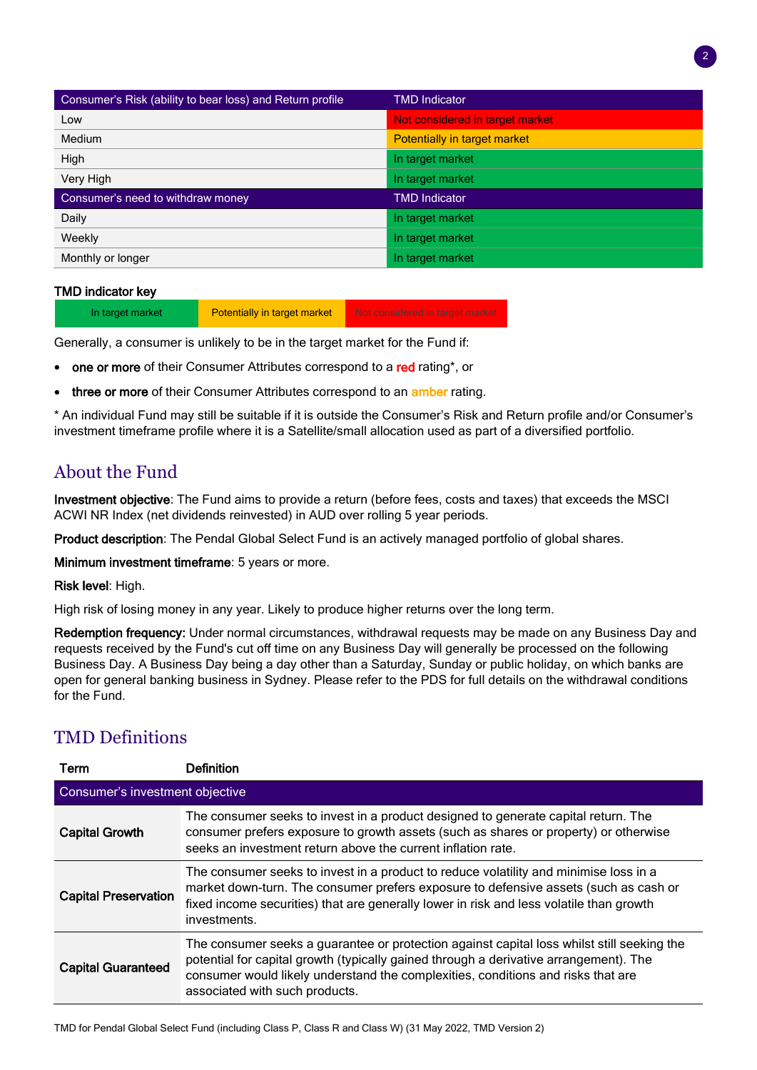| Consumer's Risk (ability to bear loss) and Return profile | <b>TMD Indicator</b>            |
|-----------------------------------------------------------|---------------------------------|
| Low                                                       | Not considered in target market |
| Medium                                                    | Potentially in target market    |
| High                                                      | In target market                |
| Very High                                                 | In target market                |
| Consumer's need to withdraw money                         | <b>TMD Indicator</b>            |
| Daily                                                     | In target market                |
| Weekly                                                    | In target market                |
| Monthly or longer                                         | In target market                |

### TMD indicator key

In target market **Potentially in target market** Not considered in target market

Generally, a consumer is unlikely to be in the target market for the Fund if:

- one or more of their Consumer Attributes correspond to a red rating\*, or
- three or more of their Consumer Attributes correspond to an amber rating.

\* An individual Fund may still be suitable if it is outside the Consumer's Risk and Return profile and/or Consumer's investment timeframe profile where it is a Satellite/small allocation used as part of a diversified portfolio.

## About the Fund

Investment objective: The Fund aims to provide a return (before fees, costs and taxes) that exceeds the MSCI ACWI NR Index (net dividends reinvested) in AUD over rolling 5 year periods.

Product description: The Pendal Global Select Fund is an actively managed portfolio of global shares.

Minimum investment timeframe: 5 years or more.

Risk level: High.

High risk of losing money in any year. Likely to produce higher returns over the long term.

Redemption frequency: Under normal circumstances, withdrawal requests may be made on any Business Day and requests received by the Fund's cut off time on any Business Day will generally be processed on the following Business Day. A Business Day being a day other than a Saturday, Sunday or public holiday, on which banks are open for general banking business in Sydney. Please refer to the PDS for full details on the withdrawal conditions for the Fund.

# TMD Definitions

| Term                            | Definition                                                                                                                                                                                                                                                                                                |  |  |  |
|---------------------------------|-----------------------------------------------------------------------------------------------------------------------------------------------------------------------------------------------------------------------------------------------------------------------------------------------------------|--|--|--|
| Consumer's investment objective |                                                                                                                                                                                                                                                                                                           |  |  |  |
| <b>Capital Growth</b>           | The consumer seeks to invest in a product designed to generate capital return. The<br>consumer prefers exposure to growth assets (such as shares or property) or otherwise<br>seeks an investment return above the current inflation rate.                                                                |  |  |  |
| <b>Capital Preservation</b>     | The consumer seeks to invest in a product to reduce volatility and minimise loss in a<br>market down-turn. The consumer prefers exposure to defensive assets (such as cash or<br>fixed income securities) that are generally lower in risk and less volatile than growth<br>investments.                  |  |  |  |
| <b>Capital Guaranteed</b>       | The consumer seeks a guarantee or protection against capital loss whilst still seeking the<br>potential for capital growth (typically gained through a derivative arrangement). The<br>consumer would likely understand the complexities, conditions and risks that are<br>associated with such products. |  |  |  |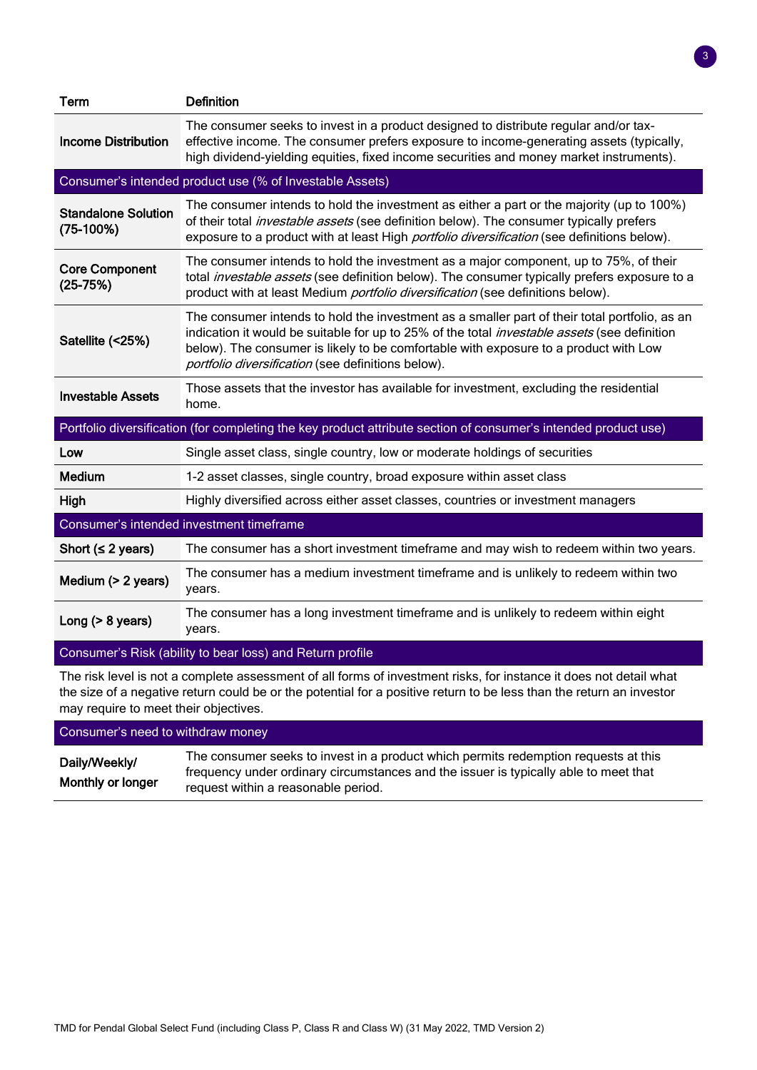| <b>Term</b>                                                                                                        | <b>Definition</b>                                                                                                                                                                                                                                                                                                                                  |  |  |
|--------------------------------------------------------------------------------------------------------------------|----------------------------------------------------------------------------------------------------------------------------------------------------------------------------------------------------------------------------------------------------------------------------------------------------------------------------------------------------|--|--|
| <b>Income Distribution</b>                                                                                         | The consumer seeks to invest in a product designed to distribute regular and/or tax-<br>effective income. The consumer prefers exposure to income-generating assets (typically,<br>high dividend-yielding equities, fixed income securities and money market instruments).                                                                         |  |  |
|                                                                                                                    | Consumer's intended product use (% of Investable Assets)                                                                                                                                                                                                                                                                                           |  |  |
| <b>Standalone Solution</b><br>$(75-100%)$                                                                          | The consumer intends to hold the investment as either a part or the majority (up to 100%)<br>of their total <i>investable assets</i> (see definition below). The consumer typically prefers<br>exposure to a product with at least High <i>portfolio diversification</i> (see definitions below).                                                  |  |  |
| <b>Core Component</b><br>$(25-75%)$                                                                                | The consumer intends to hold the investment as a major component, up to 75%, of their<br>total <i>investable assets</i> (see definition below). The consumer typically prefers exposure to a<br>product with at least Medium portfolio diversification (see definitions below).                                                                    |  |  |
| Satellite (<25%)                                                                                                   | The consumer intends to hold the investment as a smaller part of their total portfolio, as an<br>indication it would be suitable for up to 25% of the total <i>investable assets</i> (see definition<br>below). The consumer is likely to be comfortable with exposure to a product with Low<br>portfolio diversification (see definitions below). |  |  |
| <b>Investable Assets</b>                                                                                           | Those assets that the investor has available for investment, excluding the residential<br>home.                                                                                                                                                                                                                                                    |  |  |
|                                                                                                                    | Portfolio diversification (for completing the key product attribute section of consumer's intended product use)                                                                                                                                                                                                                                    |  |  |
| Low                                                                                                                | Single asset class, single country, low or moderate holdings of securities                                                                                                                                                                                                                                                                         |  |  |
| Medium                                                                                                             | 1-2 asset classes, single country, broad exposure within asset class                                                                                                                                                                                                                                                                               |  |  |
| High                                                                                                               | Highly diversified across either asset classes, countries or investment managers                                                                                                                                                                                                                                                                   |  |  |
| Consumer's intended investment timeframe                                                                           |                                                                                                                                                                                                                                                                                                                                                    |  |  |
| Short ( $\leq$ 2 years)                                                                                            | The consumer has a short investment timeframe and may wish to redeem within two years.                                                                                                                                                                                                                                                             |  |  |
| Medium (> 2 years)                                                                                                 | The consumer has a medium investment timeframe and is unlikely to redeem within two<br>years.                                                                                                                                                                                                                                                      |  |  |
| Long $(> 8$ years)                                                                                                 | The consumer has a long investment timeframe and is unlikely to redeem within eight<br>years.                                                                                                                                                                                                                                                      |  |  |
|                                                                                                                    | Consumer's Risk (ability to bear loss) and Return profile                                                                                                                                                                                                                                                                                          |  |  |
| The risk level is not a complete assessment of all forms of investment risks, for instance it does not detail what |                                                                                                                                                                                                                                                                                                                                                    |  |  |

The risk level is not a complete assessment of all forms of investment risks, for instance it does not detail what the size of a negative return could be or the potential for a positive return to be less than the return an investor may require to meet their objectives.

Consumer's need to withdraw money Daily/Weekly/ Monthly or longer The consumer seeks to invest in a product which permits redemption requests at this frequency under ordinary circumstances and the issuer is typically able to meet that request within a reasonable period.